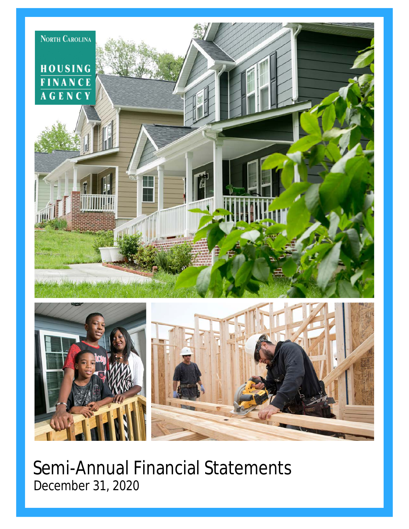

Semi-Annual Financial Statements December 31, 2020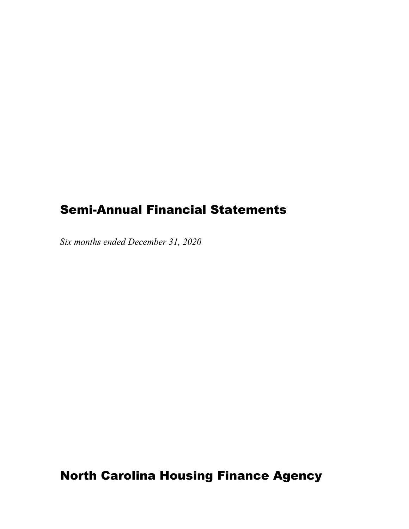## Semi-Annual Financial Statements

*Six months ended December 31, 2020* 

North Carolina Housing Finance Agency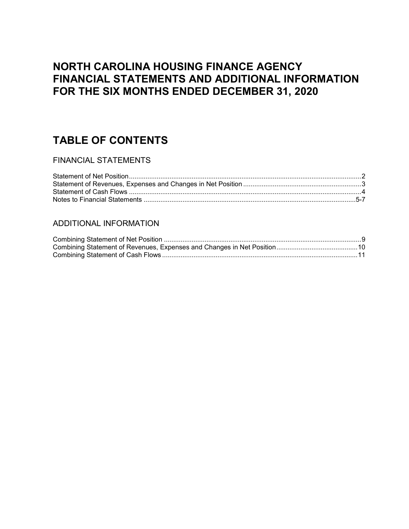## **NORTH CAROLINA HOUSING FINANCE AGENCY FINANCIAL STATEMENTS AND ADDITIONAL INFORMATION FOR THE SIX MONTHS ENDED DECEMBER 31, 2020**

## **TABLE OF CONTENTS**

### FINANCIAL STATEMENTS

### ADDITIONAL INFORMATION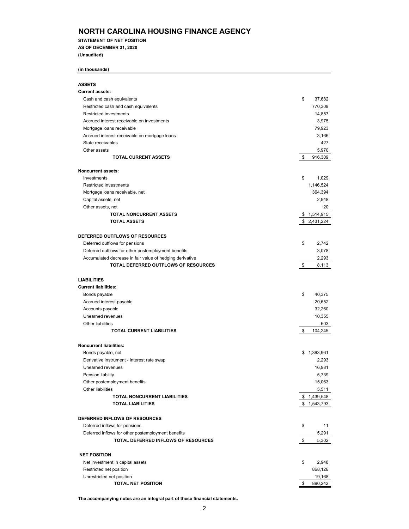**STATEMENT OF NET POSITION AS OF DECEMBER 31, 2020**

**(Unaudited)**

#### **(in thousands)**

| <b>ASSETS</b>                                            |               |
|----------------------------------------------------------|---------------|
| <b>Current assets:</b>                                   |               |
| Cash and cash equivalents                                | \$<br>37,682  |
| Restricted cash and cash equivalents                     | 770,309       |
| <b>Restricted investments</b>                            | 14,857        |
| Accrued interest receivable on investments               | 3,975         |
| Mortgage loans receivable                                | 79,923        |
| Accrued interest receivable on mortgage loans            | 3,166         |
| State receivables                                        | 427           |
| Other assets                                             | 5,970         |
| <b>TOTAL CURRENT ASSETS</b>                              | \$<br>916,309 |
|                                                          |               |
| <b>Noncurrent assets:</b>                                |               |
| Investments                                              | \$<br>1,029   |
| <b>Restricted investments</b>                            | 1,146,524     |
| Mortgage loans receivable, net                           | 364,394       |
| Capital assets, net                                      | 2,948         |
| Other assets, net                                        | 20            |
| TOTAL NONCURRENT ASSETS                                  | \$1,514,915   |
| <b>TOTAL ASSETS</b>                                      | \$2,431,224   |
|                                                          |               |
| DEFERRED OUTFLOWS OF RESOURCES                           |               |
| Deferred outflows for pensions                           | \$<br>2,742   |
| Deferred outflows for other postemployment benefits      | 3,078         |
| Accumulated decrease in fair value of hedging derivative | 2,293         |
| TOTAL DEFERRED OUTFLOWS OF RESOURCES                     | \$<br>8,113   |
|                                                          |               |
| <b>LIABILITIES</b>                                       |               |
| <b>Current liabilities:</b>                              |               |
| Bonds payable                                            | \$<br>40,375  |
| Accrued interest payable                                 | 20,652        |
| Accounts payable                                         | 32,260        |
| Unearned revenues                                        | 10,355        |
| Other liabilities                                        | 603           |
| <b>TOTAL CURRENT LIABILITIES</b>                         | \$<br>104,245 |
|                                                          |               |
| <b>Noncurrent liabilities:</b>                           |               |
| Bonds payable, net                                       | \$1,393,961   |
| Derivative instrument - interest rate swap               | 2,293         |
| Unearned revenues                                        | 16,981        |
| Pension liability                                        | 5,739         |
| Other postemployment benefits                            | 15,063        |
| Other liabilities                                        | 5,511         |
| TOTAL NONCURRENT LIABILITIES                             | \$1,439,548   |
| <b>TOTAL LIABILITIES</b>                                 | \$1,543,793   |
|                                                          |               |
| DEFERRED INFLOWS OF RESOURCES                            |               |
| Deferred inflows for pensions                            | \$<br>11      |
| Deferred inflows for other postemployment benefits       | 5,291         |
| TOTAL DEFERRED INFLOWS OF RESOURCES                      | \$<br>5,302   |
|                                                          |               |
| <b>NET POSITION</b>                                      |               |
| Net investment in capital assets                         | \$<br>2,948   |
| Restricted net position                                  | 868,126       |
| Unrestricted net position                                | 19,168        |
| <b>TOTAL NET POSITION</b>                                | \$<br>890,242 |

**The accompanying notes are an integral part of these financial statements.**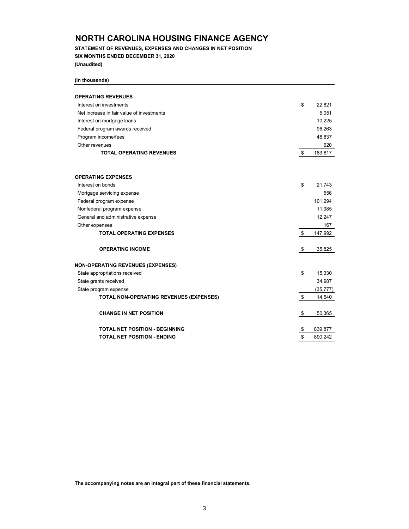**STATEMENT OF REVENUES, EXPENSES AND CHANGES IN NET POSITION SIX MONTHS ENDED DECEMBER 31, 2020 (Unaudited)**

**(in thousands)**

| <b>OPERATING REVENUES</b>                 |               |
|-------------------------------------------|---------------|
| Interest on investments                   | \$<br>22,821  |
| Net increase in fair value of investments | 5,051         |
| Interest on mortgage loans                | 10,225        |
| Federal program awards received           | 96,263        |
| Program income/fees                       | 48,837        |
| Other revenues                            | 620           |
| <b>TOTAL OPERATING REVENUES</b>           | \$<br>183,817 |
| <b>OPERATING EXPENSES</b>                 |               |
| Interest on bonds                         | \$<br>21,743  |
| Mortgage servicing expense                | 556           |
| Federal program expense                   | 101,294       |
| Nonfederal program expense                | 11,985        |
| General and administrative expense        | 12,247        |
| Other expenses                            | 167           |
| <b>TOTAL OPERATING EXPENSES</b>           | \$<br>147,992 |
| <b>OPERATING INCOME</b>                   | \$<br>35,825  |
| <b>NON-OPERATING REVENUES (EXPENSES)</b>  |               |
| State appropriations received             | \$<br>15,330  |
| State grants received                     | 34,987        |
| State program expense                     | (35, 777)     |
| TOTAL NON-OPERATING REVENUES (EXPENSES)   | \$<br>14,540  |
| <b>CHANGE IN NET POSITION</b>             | \$<br>50,365  |
| <b>TOTAL NET POSITION - BEGINNING</b>     | \$<br>839,877 |
| <b>TOTAL NET POSITION - ENDING</b>        | \$<br>890,242 |

**The accompanying notes are an integral part of these financial statements.**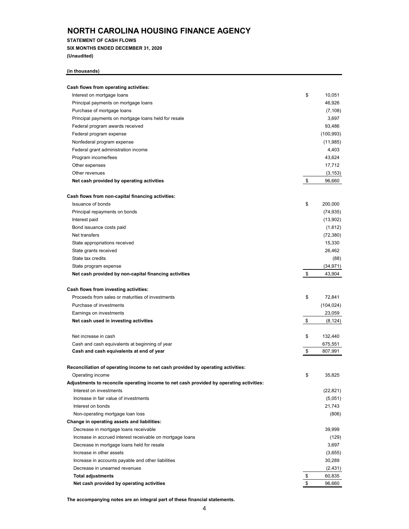**STATEMENT OF CASH FLOWS**

**SIX MONTHS ENDED DECEMBER 31, 2020 (Unaudited)**

#### **(in thousands)**

| Cash flows from operating activities:                                                   |                |
|-----------------------------------------------------------------------------------------|----------------|
| Interest on mortgage loans                                                              | \$<br>10,051   |
| Principal payments on mortgage loans                                                    | 46,926         |
| Purchase of mortgage loans                                                              | (7, 108)       |
| Principal payments on mortgage loans held for resale                                    | 3,697          |
| Federal program awards received                                                         | 93,486         |
| Federal program expense                                                                 | (100, 993)     |
| Nonfederal program expense                                                              | (11, 985)      |
| Federal grant administration income                                                     | 4,403          |
| Program income/fees                                                                     | 43,624         |
| Other expenses                                                                          | 17,712         |
| Other revenues                                                                          | (3, 153)       |
| Net cash provided by operating activities                                               | \$<br>96,660   |
| Cash flows from non-capital financing activities:                                       |                |
| <b>Issuance of bonds</b>                                                                | \$<br>200,000  |
| Principal repayments on bonds                                                           | (74, 935)      |
| Interest paid                                                                           | (13,902)       |
| Bond issuance costs paid                                                                | (1,612)        |
| Net transfers                                                                           | (72, 380)      |
| State appropriations received                                                           | 15,330         |
| State grants received                                                                   | 26,462         |
| State tax credits                                                                       | (88)           |
| State program expense                                                                   | (34, 971)      |
| Net cash provided by non-capital financing activities                                   | \$<br>43,904   |
| Cash flows from investing activities:                                                   |                |
| Proceeds from sales or maturities of investments                                        | \$<br>72,841   |
| Purchase of investments                                                                 | (104, 024)     |
| Earnings on investments                                                                 | 23,059         |
| Net cash used in investing activities                                                   | \$<br>(8, 124) |
| Net increase in cash                                                                    | \$<br>132,440  |
| Cash and cash equivalents at beginning of year                                          | 675,551        |
| Cash and cash equivalents at end of year                                                | \$<br>807,991  |
| Reconciliation of operating income to net cash provided by operating activities:        |                |
| Operating income                                                                        | \$<br>35,825   |
| Adjustments to reconcile operating income to net cash provided by operating activities: |                |
| Interest on investments                                                                 | (22, 821)      |
| Increase in fair value of investments                                                   | (5,051)        |
| Interest on bonds                                                                       | 21,743         |
| Non-operating mortgage loan loss                                                        | (806)          |
| Change in operating assets and liabilities:                                             |                |
| Decrease in mortgage loans receivable                                                   | 39,999         |
| Increase in accrued interest receivable on mortgage loans                               | (129)          |
| Decrease in mortgage loans held for resale                                              | 3,697          |
| Increase in other assets                                                                | (3,655)        |
| Increase in accounts payable and other liabilities                                      | 30,289         |
| Decrease in unearned revenues                                                           | (2, 431)       |
| <b>Total adjustments</b>                                                                | \$<br>60,835   |
| Net cash provided by operating activities                                               | \$<br>96,660   |

**The accompanying notes are an integral part of these financial statements.**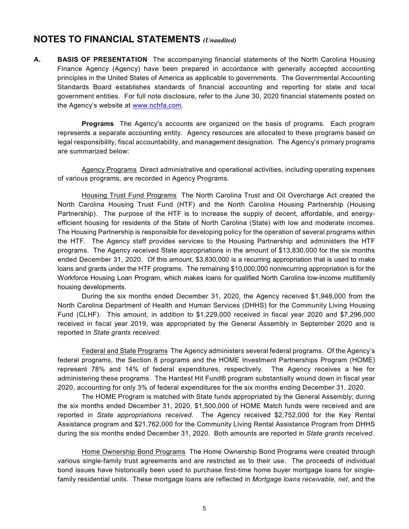## **NOTES TO FINANCIAL STATEMENTS** *(Unaudited)*

**A. BASIS OF PRESENTATION** The accompanying financial statements of the North Carolina Housing Finance Agency (Agency) have been prepared in accordance with generally accepted accounting principles in the United States of America as applicable to governments. The Governmental Accounting Standards Board establishes standards of financial accounting and reporting for state and local government entities. For full note disclosure, refer to the June 30, 2020 financial statements posted on the Agency's website at www.nchfa.com.

**Programs** The Agency's accounts are organized on the basis of programs. Each program represents a separate accounting entity. Agency resources are allocated to these programs based on legal responsibility, fiscal accountability, and management designation. The Agency's primary programs are summarized below:

Agency ProgramsDirect administrative and operational activities, including operating expenses of various programs, are recorded in Agency Programs.

Housing Trust Fund Programs The North Carolina Trust and Oil Overcharge Act created the North Carolina Housing Trust Fund (HTF) and the North Carolina Housing Partnership (Housing Partnership). The purpose of the HTF is to increase the supply of decent, affordable, and energyefficient housing for residents of the State of North Carolina (State) with low and moderate incomes. The Housing Partnership is responsible for developing policy for the operation of several programs within the HTF. The Agency staff provides services to the Housing Partnership and administers the HTF programs. The Agency received State appropriations in the amount of \$13,830,000 for the six months ended December 31, 2020. Of this amount, \$3,830,000 is a recurring appropriation that is used to make loans and grants under the HTF programs. The remaining \$10,000,000 nonrecurring appropriation is for the Workforce Housing Loan Program, which makes loans for qualified North Carolina low-income multifamily housing developments.

During the six months ended December 31, 2020, the Agency received \$1,948,000 from the North Carolina Department of Health and Human Services (DHHS) for the Community Living Housing Fund (CLHF). This amount, in addition to \$1,229,000 received in fiscal year 2020 and \$7,296,000 received in fiscal year 2019, was appropriated by the General Assembly in September 2020 and is reported in *State grants received*.

Federal and State Programs The Agency administers several federal programs. Of the Agency's federal programs, the Section 8 programs and the HOME Investment Partnerships Program (HOME) represent 78% and 14% of federal expenditures, respectively. The Agency receives a fee for administering these programs. The Hardest Hit Fund® program substantially wound down in fiscal year 2020, accounting for only 3% of federal expenditures for the six months ending December 31, 2020.

The HOME Program is matched with State funds appropriated by the General Assembly; during the six months ended December 31, 2020, \$1,500,000 of HOME Match funds were received and are reported in *State appropriations received*. The Agency received \$2,752,000 for the Key Rental Assistance program and \$21,762,000 for the Community Living Rental Assistance Program from DHHS during the six months ended December 31, 2020. Both amounts are reported in *State grants received*.

Home Ownership Bond Programs The Home Ownership Bond Programs were created through various single-family trust agreements and are restricted as to their use. The proceeds of individual bond issues have historically been used to purchase first-time home buyer mortgage loans for singlefamily residential units. These mortgage loans are reflected in *Mortgage loans receivable, net*, and the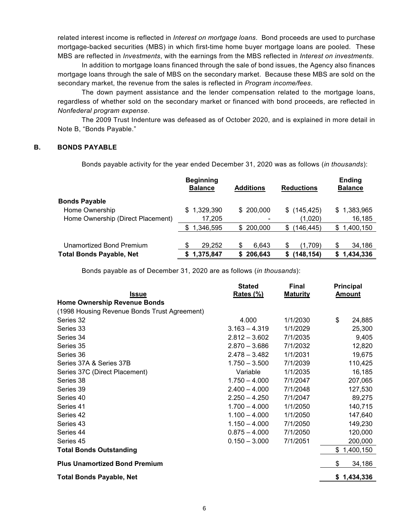related interest income is reflected in *Interest on mortgage loans*. Bond proceeds are used to purchase mortgage-backed securities (MBS) in which first-time home buyer mortgage loans are pooled. These MBS are reflected in *Investments*, with the earnings from the MBS reflected in *Interest on investments*.

In addition to mortgage loans financed through the sale of bond issues, the Agency also finances mortgage loans through the sale of MBS on the secondary market. Because these MBS are sold on the secondary market, the revenue from the sales is reflected in *Program income/fees*.

The down payment assistance and the lender compensation related to the mortgage loans, regardless of whether sold on the secondary market or financed with bond proceeds, are reflected in *Nonfederal program expense*.

The 2009 Trust Indenture was defeased as of October 2020, and is explained in more detail in Note B, "Bonds Payable."

#### **B. BONDS PAYABLE**

Bonds payable activity for the year ended December 31, 2020 was as follows (*in thousands*):

|                                   | <b>Beginning</b><br><b>Balance</b> |   | <b>Additions</b> |     | <b>Reductions</b> |   | Ending<br><b>Balance</b> |
|-----------------------------------|------------------------------------|---|------------------|-----|-------------------|---|--------------------------|
| <b>Bonds Payable</b>              |                                    |   |                  |     |                   |   |                          |
| Home Ownership                    | \$1,329,390                        |   | \$200,000        |     | $$$ (145,425)     |   | \$1,383,965              |
| Home Ownership (Direct Placement) | 17,205                             |   |                  |     | (1,020)           |   | 16,185                   |
|                                   | \$1,346,595                        |   | \$200,000        | \$. | (146, 445)        | S | 1,400,150                |
|                                   |                                    |   |                  |     |                   |   |                          |
| Unamortized Bond Premium          | \$<br>29,252                       | S | 6.643            | S   | (1.709)           |   | 34,186                   |
| <b>Total Bonds Payable, Net</b>   | 1,375,847                          |   | 206,643          |     | (148, 154)        |   | 1,434,336                |

Bonds payable as of December 31, 2020 are as follows (*in thousands*):

|                                              | <b>Stated</b>    | <b>Final</b>    | Principal     |
|----------------------------------------------|------------------|-----------------|---------------|
| <u>Issue</u>                                 | <u>Rates (%)</u> | <b>Maturity</b> | <b>Amount</b> |
| <b>Home Ownership Revenue Bonds</b>          |                  |                 |               |
| (1998 Housing Revenue Bonds Trust Agreement) |                  |                 |               |
| Series 32                                    | 4.000            | 1/1/2030        | \$<br>24,885  |
| Series 33                                    | $3.163 - 4.319$  | 1/1/2029        | 25,300        |
| Series 34                                    | $2.812 - 3.602$  | 7/1/2035        | 9,405         |
| Series 35                                    | $2.870 - 3.686$  | 7/1/2032        | 12,820        |
| Series 36                                    | $2.478 - 3.482$  | 1/1/2031        | 19,675        |
| Series 37A & Series 37B                      | $1.750 - 3.500$  | 7/1/2039        | 110,425       |
| Series 37C (Direct Placement)                | Variable         | 1/1/2035        | 16,185        |
| Series 38                                    | $1.750 - 4.000$  | 7/1/2047        | 207,065       |
| Series 39                                    | $2.400 - 4.000$  | 7/1/2048        | 127,530       |
| Series 40                                    | $2.250 - 4.250$  | 7/1/2047        | 89,275        |
| Series 41                                    | $1.700 - 4.000$  | 1/1/2050        | 140,715       |
| Series 42                                    | $1.100 - 4.000$  | 1/1/2050        | 147,640       |
| Series 43                                    | $1.150 - 4.000$  | 7/1/2050        | 149,230       |
| Series 44                                    | $0.875 - 4.000$  | 7/1/2050        | 120,000       |
| Series 45                                    | $0.150 - 3.000$  | 7/1/2051        | 200,000       |
| <b>Total Bonds Outstanding</b>               |                  |                 | \$1,400,150   |
| <b>Plus Unamortized Bond Premium</b>         |                  |                 | \$<br>34,186  |
| <b>Total Bonds Payable, Net</b>              |                  |                 | \$1,434,336   |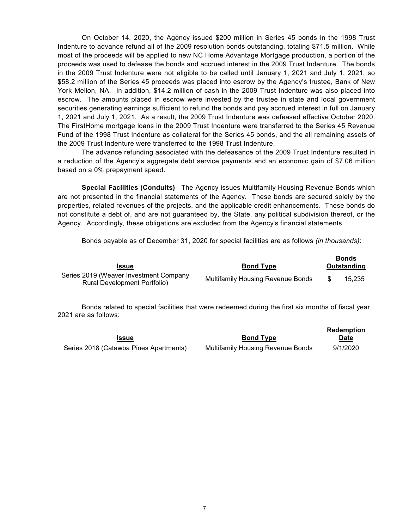On October 14, 2020, the Agency issued \$200 million in Series 45 bonds in the 1998 Trust Indenture to advance refund all of the 2009 resolution bonds outstanding, totaling \$71.5 million. While most of the proceeds will be applied to new NC Home Advantage Mortgage production, a portion of the proceeds was used to defease the bonds and accrued interest in the 2009 Trust Indenture. The bonds in the 2009 Trust Indenture were not eligible to be called until January 1, 2021 and July 1, 2021, so \$58.2 million of the Series 45 proceeds was placed into escrow by the Agency's trustee, Bank of New York Mellon, NA. In addition, \$14.2 million of cash in the 2009 Trust Indenture was also placed into escrow. The amounts placed in escrow were invested by the trustee in state and local government securities generating earnings sufficient to refund the bonds and pay accrued interest in full on January 1, 2021 and July 1, 2021. As a result, the 2009 Trust Indenture was defeased effective October 2020. The FirstHome mortgage loans in the 2009 Trust Indenture were transferred to the Series 45 Revenue Fund of the 1998 Trust Indenture as collateral for the Series 45 bonds, and the all remaining assets of the 2009 Trust Indenture were transferred to the 1998 Trust Indenture.

The advance refunding associated with the defeasance of the 2009 Trust Indenture resulted in a reduction of the Agency's aggregate debt service payments and an economic gain of \$7.06 million based on a 0% prepayment speed.

**Special Facilities (Conduits)** The Agency issues Multifamily Housing Revenue Bonds which are not presented in the financial statements of the Agency. These bonds are secured solely by the properties, related revenues of the projects, and the applicable credit enhancements. These bonds do not constitute a debt of, and are not guaranteed by, the State, any political subdivision thereof, or the Agency. Accordingly, these obligations are excluded from the Agency's financial statements.

Bonds payable as of December 31, 2020 for special facilities are as follows *(in thousands)*:

| <b>Issue</b>                                                           | <b>Bond Type</b>                         | <b>Bonds</b><br>Outstanding |
|------------------------------------------------------------------------|------------------------------------------|-----------------------------|
| Series 2019 (Weaver Investment Company<br>Rural Development Portfolio) | <b>Multifamily Housing Revenue Bonds</b> | 15.235                      |

Bonds related to special facilities that were redeemed during the first six months of fiscal year 2021 are as follows:

|                                        |                                          | Redemption |
|----------------------------------------|------------------------------------------|------------|
| <b>Issue</b>                           | <b>Bond Type</b>                         | Date       |
| Series 2018 (Catawba Pines Apartments) | <b>Multifamily Housing Revenue Bonds</b> | 9/1/2020   |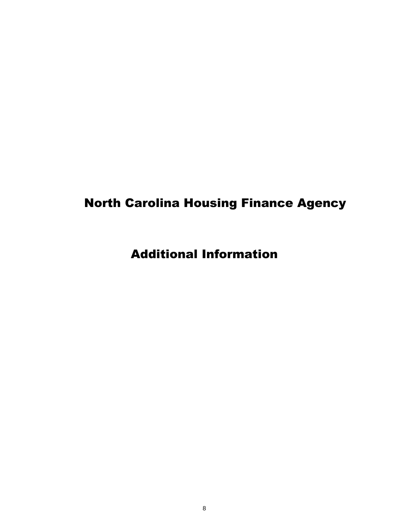## North Carolina Housing Finance Agency

Additional Information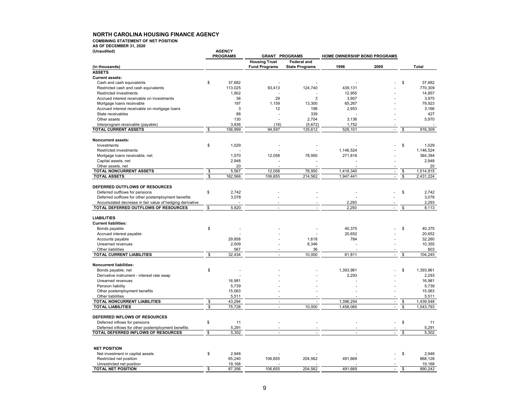**COMBINING STATEMENT OF NET POSITION**

**AS OF DECEMBER 31, 2020**

| (Unaudited)                                              |                         | <b>AGENCY</b>     |                       |                       |                              |                          |              |           |
|----------------------------------------------------------|-------------------------|-------------------|-----------------------|-----------------------|------------------------------|--------------------------|--------------|-----------|
|                                                          |                         | <b>PROGRAMS</b>   | <b>GRANT PROGRAMS</b> |                       | HOME OWNERSHIP BOND PROGRAMS |                          |              |           |
|                                                          |                         |                   | <b>Housing Trust</b>  | <b>Federal and</b>    |                              |                          |              |           |
| (in thousands)<br><b>ASSETS</b>                          |                         |                   | <b>Fund Programs</b>  | <b>State Programs</b> | 1998                         | 2009                     |              | Total     |
|                                                          |                         |                   |                       |                       |                              |                          |              |           |
| <b>Current assets:</b>                                   |                         |                   |                       |                       |                              |                          | \$           |           |
| Cash and cash equivalents                                | \$                      | 37,682<br>113,025 |                       |                       |                              |                          |              | 37,682    |
| Restricted cash and cash equivalents                     |                         |                   | 93,413                | 124,740               | 439,131                      |                          |              | 770,309   |
| Restricted investments                                   |                         | 1,902             |                       |                       | 12,955                       |                          |              | 14,857    |
| Accrued interest receivable on investments               |                         | 36                | 29                    | 3                     | 3,907                        |                          |              | 3,975     |
| Mortgage loans receivable                                |                         | 197               | 1,159                 | 13,300                | 65,267                       |                          |              | 79,923    |
| Accrued interest receivable on mortgage loans            |                         | 3                 | 12                    | 198                   | 2,953                        |                          |              | 3,166     |
| State receivables                                        |                         | 88                |                       | 339                   |                              |                          |              | 427       |
| Other assets                                             |                         | 130               |                       | 2,704                 | 3,136                        |                          |              | 5,970     |
| Interprogram receivable (payable)                        |                         | 3,936             | (16)                  | (5,672)               | 1,752                        |                          |              |           |
| TOTAL CURRENT ASSETS                                     | \$                      | 156,999           | 94,597                | 135,612               | 529,101                      | $\blacksquare$           | \$           | 916,309   |
|                                                          |                         |                   |                       |                       |                              |                          |              |           |
| <b>Noncurrent assets:</b>                                |                         |                   |                       |                       |                              |                          |              |           |
| Investments                                              | \$                      | 1,029             |                       |                       |                              |                          | \$           | 1,029     |
| <b>Restricted investments</b>                            |                         |                   |                       |                       | 1,146,524                    |                          |              | 1,146,524 |
| Mortgage loans receivable, net                           |                         | 1,570             | 12,058                | 78,950                | 271,816                      |                          |              | 364,394   |
| Capital assets, net                                      |                         | 2,948             |                       |                       |                              | ä,                       |              | 2,948     |
| Other assets, net                                        |                         | 20                |                       |                       |                              |                          |              | 20        |
| TOTAL NONCURRENT ASSETS                                  | \$                      | 5,567             | 12,058                | 78,950                | 1,418,340                    | $\Box$                   | \$           | 1,514,915 |
| <b>TOTAL ASSETS</b>                                      | \$                      | 162,566           | 106,655               | 214,562               | 1,947,441                    | ä,                       | \$           | 2,431,224 |
|                                                          |                         |                   |                       |                       |                              |                          |              |           |
| DEFERRED OUTFLOWS OF RESOURCES                           |                         |                   |                       |                       |                              |                          |              |           |
| Deferred outflows for pensions                           | \$                      | 2.742             |                       |                       |                              |                          | \$           | 2.742     |
| Deferred outflows for other postemployment benefits      |                         | 3,078             |                       |                       |                              |                          |              | 3,078     |
| Accumulated decrease in fair value of hedging derivative |                         |                   |                       |                       | 2,293                        |                          |              | 2,293     |
| TOTAL DEFERRED OUTFLOWS OF RESOURCES                     | \$                      | 5,820             | $\mathbf{r}$          | $\overline{a}$        | 2,293                        | $\mathbf{r}$             | \$           | 8,113     |
|                                                          |                         |                   |                       |                       |                              |                          |              |           |
| <b>LIABILITIES</b>                                       |                         |                   |                       |                       |                              |                          |              |           |
| <b>Current liabilities:</b>                              |                         |                   |                       |                       |                              |                          |              |           |
| Bonds payable                                            | \$                      |                   |                       |                       | 40,375                       |                          | \$           | 40,375    |
| Accrued interest payable                                 |                         |                   |                       |                       | 20,652                       |                          |              | 20,652    |
| Accounts payable                                         |                         | 29,858            |                       | 1,618                 | 784                          |                          |              | 32,260    |
| Unearned revenues                                        |                         | 2,009             |                       | 8,346                 |                              |                          |              | 10,355    |
| Other liabilities                                        |                         | 567               |                       | 36                    |                              |                          |              | 603       |
| <b>TOTAL CURRENT LIABILITIES</b>                         | $\overline{\mathbf{S}}$ | 32,434            | L.                    | 10.000                | 61,811                       | $\overline{\phantom{a}}$ | \$           | 104.245   |
|                                                          |                         |                   |                       |                       |                              |                          |              |           |
| <b>Noncurrent liabilities:</b>                           |                         |                   |                       |                       |                              |                          |              |           |
| Bonds payable, net                                       | \$                      |                   |                       |                       | 1,393,961                    |                          | \$           | 1,393,961 |
| Derivative instrument - interest rate swap               |                         |                   |                       |                       | 2,293                        |                          |              | 2,293     |
| Unearned revenues                                        |                         | 16,981            |                       |                       |                              |                          |              | 16.981    |
| Pension liability                                        |                         | 5,739             |                       |                       |                              |                          |              | 5,739     |
| Other postemployment benefits                            |                         | 15,063            |                       |                       |                              |                          |              | 15,063    |
|                                                          |                         |                   |                       |                       |                              |                          |              | 5,511     |
| Other liabilities<br>TOTAL NONCURRENT LIABILITIES        | \$                      | 5,511<br>43,294   | ä,                    |                       | 1,396,254                    |                          | \$           | 1,439,548 |
| <b>TOTAL LIABILITIES</b>                                 | \$                      | 75,728            | L.                    | 10,000                | 1,458,065                    | $\blacksquare$<br>÷.     | $\mathbb{S}$ | 1,543,793 |
|                                                          |                         |                   |                       |                       |                              |                          |              |           |
| DEFERRED INFLOWS OF RESOURCES                            |                         |                   |                       |                       |                              |                          |              |           |
|                                                          |                         |                   |                       |                       |                              |                          |              |           |
| Deferred inflows for pensions                            | \$                      | 11                |                       |                       |                              |                          | \$           | 11        |
| Deferred inflows for other postemployment benefits       |                         | 5,291             |                       |                       |                              |                          |              | 5,291     |
| TOTAL DEFERRED INFLOWS OF RESOURCES                      | \$                      | 5,302             | ×,                    |                       | $\overline{a}$               | ä,                       | \$           | 5,302     |
|                                                          |                         |                   |                       |                       |                              |                          |              |           |
|                                                          |                         |                   |                       |                       |                              |                          |              |           |
| <b>NET POSITION</b>                                      |                         |                   |                       |                       |                              |                          |              |           |
| Net investment in capital assets                         | \$                      | 2,948             |                       |                       |                              |                          | \$           | 2.948     |
| Restricted net position                                  |                         | 65,240            | 106,655               | 204,562               | 491,669                      |                          |              | 868.126   |
| Unrestricted net position                                |                         | 19,168            |                       |                       |                              |                          |              | 19,168    |
| <b>TOTAL NET POSITION</b>                                | \$                      | 87,356            | 106,655               | 204,562               | 491,669                      | ÷.                       | \$           | 890,242   |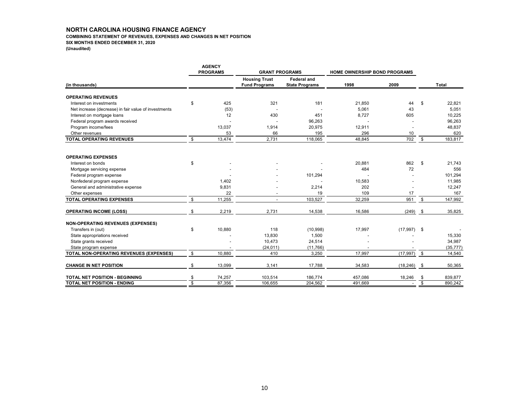#### **COMBINING STATEMENT OF REVENUES, EXPENSES AND CHANGES IN NET POSITION**

**SIX MONTHS ENDED DECEMBER 31, 2020**

**(Unaudited)**

|                                                      |                         | <b>AGENCY</b><br><b>PROGRAMS</b> | <b>GRANT PROGRAMS</b>                        |                                             | <b>HOME OWNERSHIP BOND PROGRAMS</b> |               |                         |              |
|------------------------------------------------------|-------------------------|----------------------------------|----------------------------------------------|---------------------------------------------|-------------------------------------|---------------|-------------------------|--------------|
| (in thousands)                                       |                         |                                  | <b>Housing Trust</b><br><b>Fund Programs</b> | <b>Federal and</b><br><b>State Programs</b> | 1998                                | 2009          |                         | <b>Total</b> |
| <b>OPERATING REVENUES</b>                            |                         |                                  |                                              |                                             |                                     |               |                         |              |
| Interest on investments                              | \$                      | 425                              | 321                                          | 181                                         | 21.850                              | 44            | \$                      | 22.821       |
| Net increase (decrease) in fair value of investments |                         | (53)                             |                                              |                                             | 5,061                               | 43            |                         | 5,051        |
| Interest on mortgage loans                           |                         | 12                               | 430                                          | 451                                         | 8,727                               | 605           |                         | 10,225       |
| Federal program awards received                      |                         |                                  |                                              | 96,263                                      |                                     |               |                         | 96,263       |
| Program income/fees                                  |                         | 13,037                           | 1,914                                        | 20,975                                      | 12,911                              |               |                         | 48,837       |
| Other revenues                                       |                         | 53                               | 66                                           | 195                                         | 296                                 | 10            |                         | 620          |
| <b>TOTAL OPERATING REVENUES</b>                      | \$                      | 13,474                           | 2,731                                        | 118,065                                     | 48,845                              | 702           | \$                      | 183,817      |
| <b>OPERATING EXPENSES</b>                            |                         |                                  |                                              |                                             |                                     |               |                         |              |
| Interest on bonds                                    | \$                      |                                  |                                              |                                             | 20,881                              | 862           | \$                      | 21,743       |
| Mortgage servicing expense                           |                         |                                  |                                              |                                             | 484                                 | 72            |                         | 556          |
| Federal program expense                              |                         |                                  |                                              | 101,294                                     |                                     |               |                         | 101,294      |
| Nonfederal program expense                           |                         | 1,402                            |                                              |                                             | 10,583                              |               |                         | 11,985       |
| General and administrative expense                   |                         | 9,831                            |                                              | 2,214                                       | 202                                 |               |                         | 12,247       |
| Other expenses                                       |                         | 22                               |                                              | 19                                          | 109                                 | 17            |                         | 167          |
| <b>TOTAL OPERATING EXPENSES</b>                      | \$                      | 11,255                           |                                              | 103,527                                     | 32,259                              | 951           | \$                      | 147,992      |
| <b>OPERATING INCOME (LOSS)</b>                       | \$                      | 2,219                            | 2,731                                        | 14,538                                      | 16,586                              | (249)         | \$                      | 35,825       |
| <b>NON-OPERATING REVENUES (EXPENSES)</b>             |                         |                                  |                                              |                                             |                                     |               |                         |              |
| Transfers in (out)                                   | \$                      | 10,880                           | 118                                          | (10, 998)                                   | 17,997                              | $(17,997)$ \$ |                         |              |
| State appropriations received                        |                         |                                  | 13,830                                       | 1,500                                       |                                     |               |                         | 15,330       |
| State grants received                                |                         |                                  | 10,473                                       | 24,514                                      |                                     |               |                         | 34,987       |
| State program expense                                |                         |                                  | (24, 011)                                    | (11,766)                                    |                                     |               |                         | (35, 777)    |
| TOTAL NON-OPERATING REVENUES (EXPENSES)              | \$                      | 10,880                           | 410                                          | 3,250                                       | 17,997                              | (17, 997)     | \$                      | 14,540       |
| <b>CHANGE IN NET POSITION</b>                        | \$                      | 13,099                           | 3,141                                        | 17,788                                      | 34,583                              | (18, 246)     | \$                      | 50,365       |
| TOTAL NET POSITION - BEGINNING                       | \$                      | 74,257                           | 103,514                                      | 186,774                                     | 457,086                             | 18,246        | \$                      | 839,877      |
| TOTAL NET POSITION - ENDING                          | $\overline{\mathbb{S}}$ | 87,356                           | 106,655                                      | 204,562                                     | 491.669                             |               | $\overline{\mathbb{S}}$ | 890.242      |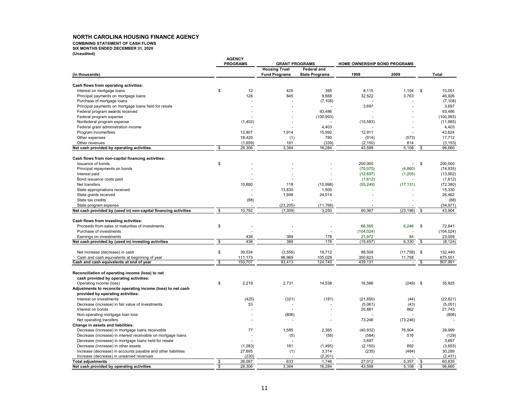**COMBINING STATEMENT OF CASH FLOWS**

**SIX MONTHS ENDED DECEMBER 31, 2020**

**(Unaudited)**

|                                                                                            | <b>AGENCY</b> |                 |                                              |                                             |                              |            |                    |                    |
|--------------------------------------------------------------------------------------------|---------------|-----------------|----------------------------------------------|---------------------------------------------|------------------------------|------------|--------------------|--------------------|
|                                                                                            |               | <b>PROGRAMS</b> | <b>GRANT PROGRAMS</b>                        |                                             | HOME OWNERSHIP BOND PROGRAMS |            |                    |                    |
| (in thousands)                                                                             |               |                 | <b>Housing Trust</b><br><b>Fund Programs</b> | <b>Federal and</b><br><b>State Programs</b> | 1998                         | 2009       |                    | Total              |
| Cash flows from operating activities:                                                      |               |                 |                                              |                                             |                              |            |                    |                    |
| Interest on mortgage loans                                                                 | \$            | 12              | 425                                          | 395                                         | 8,115                        | 1,104      | \$                 | 10,051             |
| Principal payments on mortgage loans                                                       |               | 128             | 845                                          | 9,668                                       | 32,522                       | 3,763      |                    | 46,926             |
| Purchase of mortgage loans                                                                 |               |                 |                                              | (7, 108)                                    |                              |            |                    | (7, 108)           |
|                                                                                            |               |                 |                                              |                                             | 3,697                        |            |                    | 3,697              |
| Principal payments on mortgage loans held for resale                                       |               |                 |                                              |                                             |                              |            |                    |                    |
| Federal program awards received                                                            |               |                 |                                              | 93,486                                      |                              |            |                    | 93,486             |
| Federal program expense                                                                    |               |                 |                                              | (100, 993)                                  |                              |            |                    | (100, 993)         |
| Nonfederal program expense                                                                 |               | (1,402)         |                                              |                                             | (10, 583)                    |            |                    | (11, 985)          |
| Federal grant administration income                                                        |               |                 |                                              | 4,403                                       |                              |            |                    | 4,403              |
| Program income/fees                                                                        |               | 12.807          | 1,914                                        | 15,992                                      | 12,911                       |            |                    | 43,624             |
| Other expenses                                                                             |               | 18,420          | (1)                                          | 780                                         | (914)                        | (573)      |                    | 17,712             |
| Other revenues                                                                             |               | (1,659)         | 181                                          | (339)                                       | (2, 150)                     | 814        |                    | (3, 153)           |
| Net cash provided by operating activities                                                  | \$            | 28,306          | 3,364                                        | 16,284                                      | 43,598                       | 5,108      | \$                 | 96,660             |
| Cash flows from non-capital financing activities:                                          |               |                 |                                              |                                             |                              |            |                    |                    |
| Issuance of bonds                                                                          | \$            |                 |                                              |                                             | 200,000                      | $\sim 100$ | \$                 | 200.000            |
| Principal repayments on bonds                                                              |               |                 |                                              |                                             | (70, 075)                    | (4,860)    |                    | (74, 935)          |
| Interest paid                                                                              |               |                 |                                              |                                             | (12, 697)                    | (1, 205)   |                    | (13,902)           |
| Bond issuance costs paid                                                                   |               |                 |                                              |                                             | (1,612)                      |            |                    | (1,612)            |
| Net transfers                                                                              |               | 10,880          | 118                                          | (10, 998)                                   | (55, 249)                    | (17, 131)  |                    | (72, 380)          |
| State appropriations received                                                              |               |                 | 13,830                                       | 1,500                                       |                              |            |                    | 15,330             |
| State grants received                                                                      |               |                 | 1,948                                        | 24,514                                      |                              |            |                    | 26,462             |
| State tax credits                                                                          |               | (88)            |                                              |                                             |                              |            |                    | (88)               |
|                                                                                            |               |                 |                                              |                                             |                              |            |                    |                    |
| State program expense                                                                      |               |                 | (23, 205)                                    | (11, 766)                                   |                              |            |                    | (34, 971)          |
| Net cash provided by (used in) non-capital financing activities                            | \$            | 10,792          | (7, 309)                                     | 3,250                                       | 60.367                       | (23, 196)  | \$                 | 43.904             |
| Cash flows from investing activities:                                                      |               |                 |                                              |                                             |                              |            |                    |                    |
| Proceeds from sales or maturities of investments                                           | \$            |                 |                                              |                                             | 66,595                       | 6,246      | \$                 | 72,841             |
| Purchase of investments                                                                    |               |                 |                                              |                                             | (104, 024)                   |            |                    | (104, 024)         |
| Earnings on investments                                                                    |               | 436             | 389                                          | 178                                         | 21,972                       | 84         |                    | 23,059             |
| Net cash provided by (used in) investing activities                                        | \$            | 436             | 389                                          | 178                                         | (15, 457)                    | 6,330      | - \$               | (8, 124)           |
| Net increase (decrease) in cash                                                            | \$            | 39,534          | (3,556)                                      | 19,712                                      | 88,508                       | (11, 758)  | \$                 | 132,440            |
|                                                                                            |               | 111,173         | 96,969                                       | 105,028                                     | 350,623                      | 11,758     |                    |                    |
| Cash and cash equivalents at beginning of year<br>Cash and cash equivalents at end of year | \$            | 150.707         | 93.413                                       | 124.740                                     | 439.131                      | $\sim$     | \$                 | 675,551<br>807,991 |
|                                                                                            |               |                 |                                              |                                             |                              |            |                    |                    |
| Reconciliation of operating income (loss) to net                                           |               |                 |                                              |                                             |                              |            |                    |                    |
| cash provided by operating activities:                                                     |               |                 |                                              |                                             |                              |            |                    |                    |
| Operating income (loss)                                                                    | \$            | 2,219           | 2,731                                        | 14,538                                      | 16,586                       | $(249)$ \$ |                    | 35,825             |
| Adjustments to reconcile operating income (loss) to net cash                               |               |                 |                                              |                                             |                              |            |                    |                    |
| provided by operating activities:                                                          |               |                 |                                              |                                             |                              |            |                    |                    |
| Interest on investments                                                                    |               | (425)           | (321)                                        | (181)                                       | (21, 850)                    | (44)       |                    | (22, 821)          |
| Decrease (increase) in fair value of investments                                           |               | 53              |                                              |                                             | (5,061)                      | (43)       |                    | (5,051)            |
| Interest on bonds                                                                          |               |                 |                                              |                                             | 20,881                       | 862        |                    | 21,743             |
| Non-operating mortgage loan loss                                                           |               |                 | (806)                                        |                                             |                              |            |                    | (806)              |
| Net operating transfers                                                                    |               |                 |                                              |                                             | 73,246                       | (73, 246)  |                    |                    |
| Change in assets and liabilities:                                                          |               |                 |                                              |                                             |                              |            |                    |                    |
| Decrease (increase) in mortgage loans receivable                                           |               | 77              | 1,585                                        | 2,365                                       | (40, 932)                    | 76,904     |                    | 39,999             |
| Decrease (increase) in interest receivable on mortgage loans                               |               |                 | (5)                                          | (56)                                        | (584)                        | 516        |                    | (129)              |
| Decrease (increase) in mortgage loans held for resale                                      |               |                 |                                              |                                             | 3,697                        |            |                    | 3,697              |
| Decrease (increase) in other assets                                                        |               | (1,083)         | 181                                          | (1, 495)                                    | (2, 150)                     | 892        |                    | (3,655)            |
|                                                                                            |               |                 |                                              |                                             | (235)                        |            |                    | 30,289             |
| Increase (decrease) in accounts payable and other liabilities                              |               | 27,695          | (1)                                          | 3,314                                       |                              | (484)      |                    |                    |
| Increase (decrease) in unearned revenues                                                   |               | (230)           |                                              | (2, 201)                                    |                              |            |                    | (2, 431)           |
| <b>Total adjustments</b>                                                                   | \$<br>\$      | 26,087          | 633                                          | 1,746                                       | 27,012                       | 5,357      | \$<br>$\mathbf{s}$ | 60,835             |
| Net cash provided by operating activities                                                  |               | 28,306          | 3.364                                        | 16,284                                      | 43.598                       | 5.108      |                    | 96.660             |